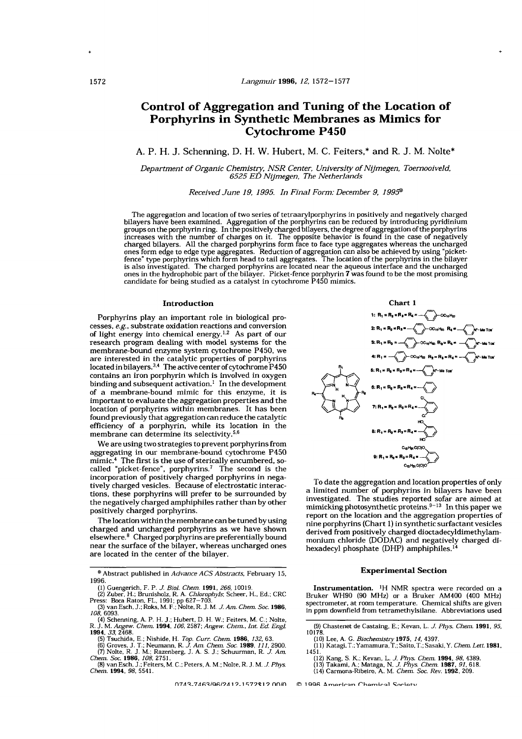# **Control of Aggregation and Tuning of the Location of Porphyrins in Synthetic Membranes as Mimics for Cytochrome P450**

**A. P. H. J. Schenning, D. H. W. Hubert, M. C. Feiters,\* and R. J. M. Nolte\***

*D e p a r tm e n t o f O rg a n ic C h e m is tr y , N S R C en ter, U n iv e r s ity o f N ijm e g e n , T o ern o o iveld , 6525 ED Nijmegen, The Netherlands* 

*Received June 19, 1995. In Final Form: December 9, 1995*<sup>8</sup>

The aggregation and location of two series of tetraarylporphyrins in positively and negatively charged bilayers have been examined. Aggregation of the porphyrins can be reduced by introducing pyridinium groups on the porphyrin ring. In the positively charged bilayers, the degree of aggregation of the porphyrins increases with the number of charges on it. The opposite behavior is found in the case of negatively charged bilayers. All the charged porphyrins form face to face type aggregates whereas the uncharged ones form edge to edge type aggregates. Reduction of aggregation can also be achieved by using "picketfence" type porphyrins which form head to tail aggregates. The location of the porphyrins in the bilayer is also investigated. The charged porphyrins are located near the aqueous interface and the uncharged ones in the hydrophobic part of the bilayer. Picket-fence porphyrin **7** was found to be the most promising candidate for being studied as a catalyst in cytochrome P450 mimics.

# **Introduction**

Porphyrins play an important role in biological processes, *e.g.*, substrate oxidation reactions and conversion of light energy into chemical energy.<sup>1,2</sup> As part of our research program dealing with model systems for the membrane-bound enzyme system cytochrome P450, we are interested in the catalytic properties of porphyrins located in bilayers.<sup>3,4</sup> The active center of cytochrome  $P450$ contains an iron porphyrin which is involved in oxygen binding and subsequent activation.<sup>1</sup> In the development of a membrane-bound mimic for this enzyme, it is important to evaluate the aggregation properties and the location of porphyrins within membranes. It has been found previously that aggregation can reduce the catalytic efficiency of a porphyrin, while its location in the membrane can determine its selectivity.<sup>5</sup>

We are using two strategies to prevent porphyrins from aggregating in our membrane-bound cytochrome P450 mimic.<sup>4</sup> The first is the use of sterically encumbered, socalled "picket-fence", porphyrins.<sup>7</sup> The second is the incorporation of positively charged porphyrins in negatively charged vesicles. Because of electrostatic interactions, these porphyrins will prefer to be surrounded by the negatively charged amphiphiles rather than by other positively charged porphyrins.

The location within the membrane can be tuned by using charged and uncharged porphyrins as we have shown elsewhere.<sup>8</sup> Charged porphyrins are preferentially bound near the surface of the bilayer, whereas uncharged ones are located in the center of the bilayer.

- (1) Guengerich, F. P. *J. Biol. Chem.* **1991**, 266, 10019.<br>
(2) Zuber, H.; Brunisholz, R. A. *Chlorophyls*; Scheer, H., Ed.; CRC<br>
Press: Boca Raton, FL, 1991; pp 627–703.<br>
(3) van Esch, J.; Roks, M. F.; Nolte, R. J. M. *J.*
- *108,* 6093.
- (4) Schenning, A. P. H. J.; Hubert, D. H. W.; Feiters, M. C.; Nolte, R. J. M. Angew. Chem. 1994, 106, 2587; Angew. Chem., Int. Ed. Engl. 1994, 5 2468.<br>1994, 33, 2468.<br>5 3, 2468.<br>5 3, 2468.<br>5 3, 2468.<br>5 3, 2468.<br>5 3, 2468.<br>
- 
- 
- 



To date the aggregation and location properties of only a limited number of porphyrins in bilayers have been investigated. The studies reported sofar are aimed at mimicking photosynthetic proteins. $9-13$  In this paper we report on the location and the aggregation properties of nine porphyrins (Chart 1) in synthetic surfactant vesicles derived from positively charged dioctadecyldimethylammonium chloride (DODAC) and negatively charged dih exadecyl phosphate (DHP) amphiphiles.<sup>14</sup>

## **Experimental Section**

Instrumentation. <sup>1</sup>H NMR spectra were recorded on a Bruker WH90 (90 MHz) or a Bruker AM400 (400 MHz) spectrometer, at room temperature. Chemical shifts are given in ppm downfield from tetramethylsilane. Abbreviations used

- (9) Chastenet de Castaing, E.; Kevan, L. *J. Phys. Chem.* 1991, *95,* 10178.
- 
- (10) Lee, A. G. *Biochemistry* 1975, *14,* 4397. (11) Katagi,T.;Yamamura,T.;Saito,T.;Sasaki,Y. *Chem.Lett.* 1981, 1451.
- (12) Kang, S. K.; Kevan, L. *J. Phys. Chem.* 1994, *98,* 4389. (13) Takami, A.; Mataga, N. *J. Phys. Chem.* 1987, *91,* 618. (14) Carmona-Ribeiro, A. M. *Chem. Soc. Rev.* 1992, 209.
- 
- 

N743.7463/Q6/9419.1579\$19 NN/N © 1006 Amorican Chamical Society

<sup>®</sup> Abstract published in *Advance A C S Abstracts,* February 15, 1996.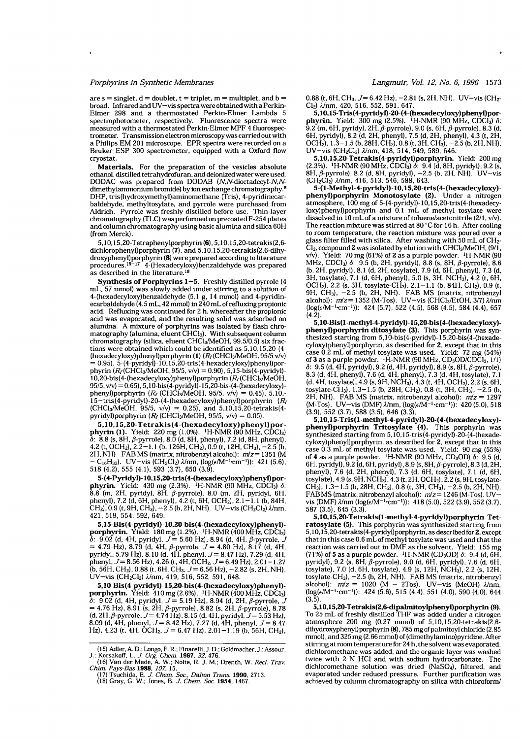### *Porphyrins in Synthetic Membranes*

are  $s =$  singlet,  $d =$  doublet,  $t =$  triplet,  $m =$  multiplet, and  $b =$ broad. Infrared and UV-vis spectra were obtained with a Perkin-Elmer 298 and a thermostated Perkin-Elmer Lambda 5 spectrophotometer, respectively. Fluorescence spectra were measured with a thermostated Perkin-Elmer MPF 4 fluorospectrometer. Transmission electron microscopy was carried out with a Philips EM 201 microscope. EPR spectra were recorded on a Bruker ESP 300 spectrometer, equipped with a Oxford flow cryostat.

Materials. For the preparation of the vesicles absolute ethanol, distilled tetrahydrofuran, and deionized water were used. DODAC was prepared from DODAB (N,N-dioctadecyl-N,Ndimethylam monium bromide) by ion exchange chromatography.<sup>8</sup> DHP, tris(hydroxymethyl)aminomethane (Tris), 4-pyridinecarbaldehyde, methyltosylate, and pyrrole were purchased from Aldrich. Pyrrole was freshly distilled before use. Thin-layer chrom atography (TLC) w as perform ed on precoated F-254 plates and column chromatography using basic alumina and silica 60H (from Merck).

5.10.15.20-Tetraphenylporphyrin (6 ), 5,10,15,20-tetrakis(2,6 dichlorophenyl)porphyrin **(7),** and 5,10,15,20-tetrakis(2,6-dihydroxyphenyl) porphyrin (8) w ere prepared according to literature procedures.15-17 4-(Hexadecyloxy)benzaldehyde was prepared as described in the literature.<sup>18</sup>

**Synthesis of Porphyrins 1-5.** Freshly distilled pyrrole (4 mL, 57 mmol) was slowly added under stirring to a solution of 4-(hexadecyloxy)benzaldehyde (5.1 g, 14 mmol) and 4-pyridinecarbaldehyde (4.5 mL, 42 mmol) in 240 mL of refluxing propionic acid. Refluxing was continued for 2 h, whereafter the propionic acid was evaporated, and the resulting solid was adsorbed on alumina. A mixture of porphyrins was isolated by flash chromatography (alumina, eluent CHCl3). With subsequent column chromatography (silica, eluent CHCl3/MeOH, 99.5/0.5) six fractions were obtained which could be identified as  $5,10,15,20$ -(4-(hexadecyloxy)phenyl)porphyrin (1)  $(R_f$  (CHCl<sub>3</sub>/MeOH, 95/5 v/v) = 0.95), 5-(4-pyridyl)-10,15,20-tris(4-hexadecyloxy)phenyl)porphyrin ( $R_f$ (CHCl<sub>3</sub>/MeOH, 95/5, v/v) = 0.90), 5,15-bis(4-pyridyl)-10,20-bis(4-(hexadecyloxy)phenyl)porphyrin  $(R_f$ (CHCl<sub>3</sub>/MeOH, 95/5, v/v) =0.65), 5,10-bis(4-pyridyl)-15,20-bis-(4-(hexadecyloxy) phenyl)porphyrin *(R<sub>f</sub>* (CHCl<sub>3</sub>/MeOH, 95/5, v/v) = 0.45), 5,10,-15—tris(4-pyridyl)-20-(4-(hexadecyloxy)phenyl)porphyrin *(Rf*  $(CHCI<sub>3</sub>/MeOH, 95/5, v/v) = 0.25$ , and 5,10,15,20-tetrakis(4pyridyl)porphyrin  $(R_f$  (CHCl<sub>3</sub>/MeOH, 95/5, v/v) = 0.05).

**5 .1 0 .1 5 .2 0 -T e tr a k is (4 -( h e x a d e c y lo x y ) p h e n y l) p o r phyrin (1).** Yield: 220 mg (1.0%). <sup>1</sup>H-NMR (90 MHz, CDCl<sub>3</sub>)  $\delta$ :  $\,8.8$  (s,  $8$ H,  $\beta$ -pyrrole),  $8.0$  (d,  $8H$ , phenyl),  $7.2$  (d,  $8H$ , phenyl), 4.2 (t, OCH<sub>2</sub>), 2.2-1.1 (b, 126H, CH<sub>2</sub>), 0.9 (t, 12H, CH<sub>3</sub>), -2.5 (b, 2H, NH). FAB MS (matrix, nitrobenzyl alcohol):  $m/z = 1351$  (M  $-C_{16}H_{33}$ . UV—vis (CH<sub>2</sub>Cl<sub>2</sub>)  $\lambda$ /nm, (log( $\epsilon$ /M<sup>-1</sup>·cm<sup>-1</sup>)): 421 (5.6), 518 (4.2), 555 (4.1), 593 (3.7), 650 (3.9).

5-(4-Pyridyl)-10,15,20-tris(4-(hexadecyloxy)phenyl)por**phyrin.** Yield: 430 mg (2.3%). <sup>1</sup>H-NMR (90 MHz, CDCl<sub>3</sub>) *δ*: 8.8 (m, 2H, pyridyl, 8H, β-pyrrole), 8.0 (m, 2H, pyridyl, 6H, phenyl), 7.2 (d, 6H, phenyl), 4.2 (t, 6H, OCH2), 2 .1 -1 .1 (b, 84H, CH<sub>2</sub>), 0.9 (t, 9H, CH<sub>3</sub>), -2.5 (b, 2H, NH). UV-vis (CH<sub>2</sub>Cl<sub>2</sub>)  $\lambda$ /nm, 421, 519, 554, 592, 649.

**5,15-B is(4-p yrid yl)-10,20-bls(4-(hexadecyloxy)p henyl) porphyrin.** Yield: 180 mg (1.2%). <sup>1</sup>H-NMR (400 MHz, CDCl<sub>3</sub>)  $\delta$ : 9.02 (d, 4H, pyridyl,  $J = 5.60$  Hz), 8.94 (d, 4H,  $\beta$ -pyrrole,  $J$ = 4.79 Hz), 8.79 (d, 4H, /9-pyrrole, *J =* 4.80 Hz), 8.17 (d, 4H, pyridyl, 5.79 Hz), 8.10 (d, 4H, phenyl. *J =* 8.47 Hz), 7.29 (d, 4H, phenyl, *J =* 8.56 Hz), 4.26 (t, 4H, OCH2, *J =* 6.49 Hz), 2.01-1.27  $(b, 56H, CH<sub>2</sub>), 0.88 (t, 6H, CH<sub>3</sub>, J = 6.56 Hz), -2.82 (s, 2H, NH).$ UV-vis (CH<sub>2</sub>Cl<sub>2</sub>)  $\lambda$ /nm, 419, 516, 552, 591, 648.

**5 ,1 0 B is(4 p y r id y l)1 5 ,2 0 -b is(4 -(h e x a d e c y lo x y )p h e n y l) porphyrin.** Yield: 410 mg (2.6%). <sup>1</sup>H-NMR (400 MHz, CDCl<sub>3</sub>)  $\delta$ : 9.02 (d, 4H, pyridyl,  $J = 5.19$  Hz), 8.94 (d, 2H,  $\beta$ -pyrrole,  $=$  4.76 Hz), 8.91 (s, 2H,  $\beta$ -pyrrole), 8.82 (s, 2H,  $\beta$ -pyrrole), 8.78 (d, 2H,  $\beta$ -pyrrole,  $J = 4.74$  Hz), 8.15 (d, 4H, pyridyl,  $J = 5.53$  Hz), 8.09 (d, 4H, phenyl, *J =* 8.42 Hz), 7.27 (d, 4H, phenyl, *J =* 8.47 Hz), 4.23 (t, 4H, OCH2, *J =* 6.47 Hz), 2.01-1.19 (b, 56H, CH2),

# *Langmuir, Vol. 12, No. 6, 1996* 1573

0.88 (t, 6H, CH<sub>3</sub>, *J* = 6.42 Hz), -2.81 (s, 2H, NH). UV-vis (CH<sub>2</sub>-Cl2) A/nm, 420, 516, 552, 591, 647.

**5.10.15-Tris(4-pyridyl)-20-(4-(hexadecyloxy)phenyl)porphyrin.** Yield: 300 mg (2.5%). <sup>1</sup>H-NMR (90 MHz, CDC1<sub>3</sub>)  $\delta$ :  $9.2$  (m, 6H, pyridyl, 2H,  $\beta$ -pyrrole), 9.0 (s, 6H,  $\beta$ -pyrrole), 8.3 (d, 6H, pyridyl), 8.2 (d, 2H, phenyl), 7.5 (d, 2H, phenyl), 4.3 (t, 2H, OCH<sub>2</sub>), 1.3–1.5 (b, 28H, CH<sub>2</sub>), 0.8 (t, 3H, CH<sub>3</sub>), -2.5 (b, 2H, NH).  $UV - vis$  (CH<sub>2</sub>Cl<sub>2</sub>)  $\lambda$ /nm, 418, 514, 549, 589, 646.

**5.10.15.20-T etrakis(4-pyridyl)porphyrin.** Yield: 200 mg (2.3%). 'H-NMR (90 MHz, CDC13) *d:* 9.4 (d, 8H, pyridyl), 9.2 (s, 8H, β-pyrrole), 8.2 (d, 8H, pyridyl), –2.5 (b, 2H, NH). UV–vis (CH2CI2) A/nm, 416, 513, 546, 588, 643.

**5-(l-M eth yl-4-p yrid yl)-10,15,20-tris(4-(h exad ecyloxy) phenyl)porphyrin Monotosylate (2).** Under a nitrogen atm osphere, 100 mg of 5-(4-pyridyl)-10,15,20-tris(4-(hexadecyloxy)phenyl)porphyrin and 0.1 mL of methyl tosylate were dissolved in 10 mL of a mixture of toluene/acetonitrile  $(2/1, v/v)$ . The reaction mixture was stirred at 80 °C for 16 h. After cooling to room temperature, the reaction mixture was poured over a glass filter filled with silica.  $\,$  After washing with 50 mL of CH $_2$ -  $\,$ CI2, compound **2** w as isolated by elution w ith CHCij/MeOH, (9/1, v/v). Yield: 70 mg (61%) of **2** as a purple powder. <sup>1</sup>H-NMR (90 MHz, CDCl3)  $\delta$ : 9.5 (b, 2H, pyridyl), 8.8 (s, 8H,  $\beta$ -pyrrole), 8.6 (b, 2H, pyridyl), 8.1 (d, 2H, tosylate), 7.9 (d, 6H, phenyl), 7.3 (d, 3H, tosylate), 7.1 (d, 6H, phenyl), 5.0 (s, 3H, NCH3), 4.2 (t, 6H, OCH<sub>2</sub>), 2.2 (s, 3H, tosylate-CH<sub>3</sub>), 2.1-1.1 (b, 84H, CH<sub>2</sub>), 0.9 (t, 9H, CH<sub>3</sub>), -2.5 (b, 2H, NH). FAB MS (matrix, nitrobenzyl alcohol): *m*/*z* = 1352 (M-Tos). UV-vis (CHCl<sub>3</sub>/EtOH, 3/7)  $\lambda$ /nm  $(log(\epsilon/M^{-1}cm^{-1}))$ : 424 (5.7), 522 (4.5), 568 (4.5), 584 (4.4), 657  $(4.\bar{2})$ .

**5,10-B is(l-m ethyl-4-pyridyl)-15,20-bis(4-(hexadecyIoxy)** phenyl)porphyrin ditosylate (3). This porphyrin was synthesized starting from 5,10-bis(4-pyridyl)-15,20-bis(4-(hexadecyloxy)phenyl)porphyrin, as described for 2, except that in this case 0.2 mL of methyl tosylate was used. Yield: 72 mg (54%) of **3** as a purple powder. <sup>1</sup>H-NMR (90 MHz, CD<sub>3</sub>OD/CDCI<sub>3</sub>, 1/1)  $\delta$ : 9.5 (d, 4H, pyridyl), 9.2 (d, 4H, pyridyl), 8.9 (s, 8H,  $\beta$ -pyrrole), 8.3 (d, 4H, phenyl), 7.6 (d, 4H, phenyl), 7.3 (d, 4H, tosylate), 7.1 (d, 4H, tosylate), 4.9 (s, 9H, NCH<sub>3</sub>), 4.3 (t, 4H, OCH<sub>2</sub>), 2.2 (s, 6H, tosylate-CH<sub>3</sub>),  $1.3 - 1.5$  (b, 28H, CH<sub>2</sub>), 0.8 (t, 3H, CH<sub>3</sub>), -2.5 (b, 2H, NH). FAB MS (m atrix, nitrobenzyl alcohol): *m !z =* 1297 (M-Tos). UV−vis (DMF)  $\lambda$ /nm, (log(e/M<sup>-1</sup>·cm<sup>-1</sup>)): 420 (5.0), 518 (3.9), 552 (3.7), 588 (3.5), 646 (3.3).

**5.10.15-T ris(l-m ethyl-4-pyrid yl)-20-(4-(h exad ecyloxy) phenyl)porphyrin Tritosylate (4).** This porphyrin was synthesized starting from 5,10,15-tris(4-pyridyl)-20-(4-(hexadecyloxy)phenyl)porphyrin, as described for **2**, except that in this case 0.3 mL of methyl tosylate was used. Yield: 90 mg (55%) of **4** as a purple powder. 'H-NMR (90 MHz, CD3OD) *6:* 9.5 (d, 6H, pyridyl), 9.2 (d, 6H, pyridyl), 8.9 (s, 8H, β-pyrrole), 8.3 (d, 2H, phenyl), 7.6 (d, 2H, phenyl), 7.3 (d, 6H, tosylate), 7.1 (d, 6H, tosylate), 4.9 (s, 9H, NCH3), 4.3 (t, 2H, OCH2), 2.2 (s, 9H, tosylate-CH<sub>3</sub>),  $1.3-1.5$  (b, 28H, CH<sub>2</sub>), 0.8 (t, 3H, CH<sub>3</sub>),  $-2.5$  (b, 2H, NH). FAB MS (matrix, nitrobenzyl alcohol):  $m/z = 1246$  (M-Tos). UVvis (DMF)  $\lambda$ /nm (log( $\epsilon$ /M<sup>-1</sup>·cm<sup>-1</sup>)): 418 (5.0), 522 (3.9), 552 (3.7), 587 (3.5), 645 (3.3).

5.10.15.20-Tetrakis(1-methyl-4-pyridyl)porphyrin Tetratosylate (5). This porphyrin was synthesized starting from 5,10,15,20-tetrakis(4-pyridyl)porphyrin, as described for **2,** except that in this case 0.6 mL of methyl tosylate was used and that the reaction was carried out in DMF as the solvent. Yield: 155 mg  $(71\%)$  of 5 as a purple powder.  $\,^1$ H-NMR  $(CD_3OD) \, \delta$ : 9.4 (d, 6H, pyridyl), 9.2 (s, 8H, β-pyrrole), 9.0 (d, 6H, pyridyl), 7.6 (d, 6H, tosylate), 7.0 (d, 6H, tosylate), 4.9 (s, 12H, NCH<sub>3</sub>), 2.2 (s, 12H, tosylate-CH<sub>3</sub>), –2.5 (b, 2H, NH). FAB MS (matrix, nitrobenzyl alcohol):  $m/z = 1020$  (M – 2Tos). UV-vis (MeOH)  $\lambda/mm$ ,  $(log(\epsilon/M^{-1} \cdot cm^{-1}))$ : 424 (5.6), 515 (4.4), 551 (4.0), 590 (4.0), 644  $(3.5)$ 

**5.10.15.20-T etrakis(2,6-dipalm itoylphenyl)porphyrin (9).** To 25 mL of freshly distilled THF was added under a nitrogen atm osphere 200 mg (0.27 mmol) of 5,10,15,20-tetrakis(2,6 dihydroxyphenyl) porphyrin (8), 785 mg of palmitoyl chloride (2.85 mmol), and 325 mg (2.66 mmol) of (dimethylamino)pyridine. After stirring at room temperature for 24 h, the solvent was evaporated, dichloromethane was added, and the organic layer was washed twice with 2 N HCl and with sodium hydrocarbonate. The dichloromethane solution was dried (NaSO<sub>4</sub>), filtered, and evaporated under reduced pressure. Further purification was achieved by column chromatography on silica with chloroform/

<sup>(15)</sup> Adler, A. D.; Longo, F. R.; Finarelli, J. D.; Goldmacher, J.; Assour, J.; Korsakoff, L. *J. Org. Chem.* **1967**, 32, 476.<br>(16) Van der Made, A. W.; Nolte, R. J. M.; Drenth, W. *Recl. Trav.* Chim. Pays-Bas **1988**, 107,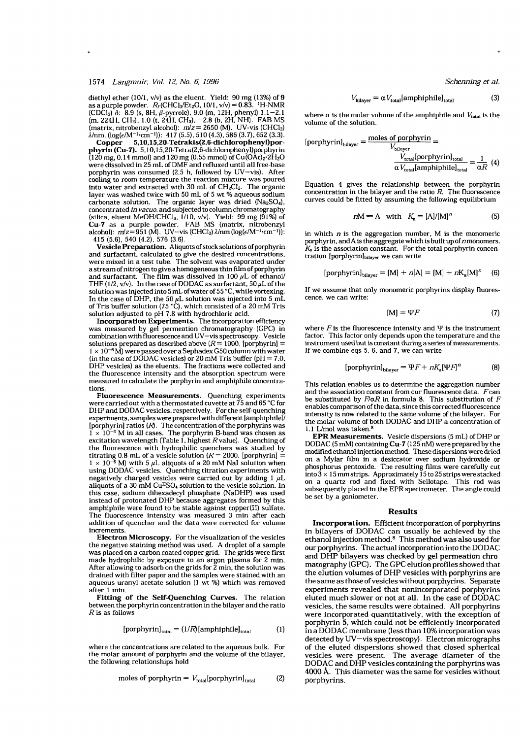diethyl ether (10/1, v/v) as the eluent. Yield: 90 mg (13%) of 9 as a purple powder.  $R_f$ (CHCl<sub>3</sub>/Et<sub>2</sub>O, 10/1, v/v) = 0.83. <sup>1</sup>H-NMR  $(CDCl<sub>3</sub>)$   $\delta$ : 8.9 (s, 8H,  $\beta$ -pyrrole), 9.0 (m, 12H, phenyl) 1.1-2.1 (m, 224H, CH<sub>2</sub>), 1.0 (t, 24H, CH<sub>3</sub>), -2.8 (b, 2H, NH). FAB MS (matrix, nitrobenzyl alcohol):  $m/z = 2650$  (M). UV-vis (CHCl<sub>3</sub>)<br> $\lambda$ /nm, (log( $\epsilon$ /M<sup>-1</sup>·cm<sup>-1</sup>)): 417 (5.5), 510 (4.3), 586 (3.7), 652 (3.3).

5,10,15,20-Tetrakis(2,6-dichlorophenyl)por-Copper phyrin (Cu-7). 5,10,15,20-Tetra(2,6-dichlorophenyl)porphyrin  $(120 \text{ mg}, 0.14 \text{ mmol})$  and 120 mg (0.55 mmol) of  $Cu(OAc)_{2} \cdot 2H_{2}O$ were dissolved in 25 mL of DMF and refluxed until all free-base porphyrin was consumed (2.5 h, followed by UV-vis). After cooling to room temperature the reaction mixture was poured into water and extracted with 30 mL of CH<sub>2</sub>Cl<sub>2</sub>. The organic layer was washed twice with 50 mL of 5 wt % aqueous sodium carbonate solution. The organic layer was dried (Na<sub>2</sub>SO<sub>4</sub>), concentrated in vacuo, and subjected to column chromatography Cuitca, eluent MeOH/CHCl<sub>3</sub>, 1/10, v/v). Yield: 99 mg (91%) of<br>Cu-7 as a purple powder. FAB MS (matrix, nitrobenzyl<br>alcohol):  $m/z = 951$  (M). UV-vis (CHCl<sub>3</sub>)  $\lambda$ /nm (log( $\epsilon$ /M<sup>-1</sup>·cm<sup>-1</sup>)):  $415(5.6), 540(4.2), 576(3.6).$ 

Vesicle Preparation. Aliquots of stock solutions of porphyrin and surfactant, calculated to give the desired concentrations, were mixed in a test tube. The solvent was evaporated under a stream of nitrogen to give a homogeneous thin film of porphyrin and surfactant. The film was dissolved in 100  $\mu$ L of ethanol/<br>THF (1/2, v/v). In the case of DODAC as surfactant, 50  $\mu$ L of the solution was injected into 5 mL of water of 55 °C, while vortexing. In the case of DHP, the 50  $\mu$ L solution was injected into 5 mL<br>of Tris buffer solution (75 °C), which consisted of a 20 mM Tris<br>solution adjusted to pH 7.8 with hydrochloric acid.

**Incorporation Experiments.** The incorporation efficiency<br>was measured by gel permeation chromatography (GPC) in<br>combination with fluorescence and UV-vis spectroscopy. Vesicle<br>solutions prepared as described above  $(R = 100$  $1 \times 10^{-6}$  M) were passed over a Sephadex G50 column with water (in the case of DODAC vesicles) or 20 mM Tris buffer (pH = 7.0, DHP vesicles) as the eluents. The fractions were collected and the fluorescence intensity and the absorption spectrum were measured to calculate the porphyrin and amphiphile concentrations

Fluorescence Measurements. Quenching experiments were carried out with a thermostated cuvette at 75 and 65 °C for DHP and DODAC vesicles, respectively. For the self-quenching experiments, samples were prepared with different [amphiphile]/ [porphyrin] ratios  $(R)$ . The concentration of the porphyrins was  $1 \times 10^{-6}$  M in all cases. The porphyrin B-band was chosen as excitation wavelength (Table 1, highest R value). Quenching of the fluorescence with hydrophilic quenchers was studied by titrating 0.8 mL of a vesicle solution ( $R = 2000$ , [porphyrin] =<br>1 × 10<sup>-6</sup> M) with 5  $\mu$ L aliquots of a 20 mM NaI solution when using DODAC vesicles. Quenching titration experiments with negatively charged vesicles were carried out by adding 1  $\mu$ L aliquots of a 30 mM Cu<sup>11</sup>SO<sub>4</sub> solution to the vesicle solution. In this case, sodium dihexadecyl phosphate (NaDHP) was used instead of protonated DHP because aggregates formed by this amphiphile were found to be stable against copper(II) sulfate. The fluorescence intensity was measured 3 min after each addition of quencher and the data were corrected for volume increments.

**Electron Microscopy.** For the visualization of the vesicles<br>the negative staining method was used. A droplet of a sample was placed on a carbon coated copper grid. The grids were first made hydrophilic by exposure to an argon plasma for 2 min. After allowing to adsorb on the grids for 2 min, the solution was drained with filter paper and the samples were stained with an aqueous uranyl acetate solution (1 wt %) which was removed after 1 min.

Fitting of the Self-Quenching Curves. The relation between the porphyrin concentration in the bilayer and the ratio  $R$  is as follows

$$
[porphyrin]_{total} = (1/R) [amphiphile]_{total}
$$
 (1)

where the concentrations are related to the aqueous bulk. For the molar amount of porphyrin and the volume of the bilayer, the following relationships hold

moles of porphyrin = 
$$
V_{total}[porphyrin]_{total}
$$
 (2)

Schenning et al.

$$
V_{\text{bilaver}} = \alpha V_{\text{total}}[\text{amphiphile}]_{\text{total}} \tag{3}
$$

where  $\alpha$  is the molar volume of the amphiphile and  $V_{total}$  is the volume of the solution.

$$
[porphyrin]_{\text{bilayer}} = \frac{\text{moles of porphyrin}}{V_{\text{bilayer}}}
$$

$$
\frac{V_{\text{total}}[porphyrin]_{\text{total}}}{\alpha \, V_{\text{total}}[amphiphile]_{\text{total}}} = \frac{1}{\alpha R} \tag{4}
$$

Equation 4 gives the relationship between the porphyrin concentration in the bilayer and the ratio  $R$ . The fluorescence curves could be fitted by assuming the following equilibrium

$$
nM - A \quad \text{with} \quad K_s = [A]/[M]^n \tag{5}
$$

in which  $n$  is the aggregation number, M is the monomeric porphyrin, and A is the aggregate which is built up of n monomers.  $K_a$  is the association constant. For the total porphyrin concentration [porphyrin]bilayer we can write

$$
[porphyrin]_{bilayer} = [M] + n[A] = [M] + nK_a[M]^n \quad (6)
$$

If we assume that only monomeric porphyrins display fluorescence, we can write:

$$
[M] = \Psi F \tag{7}
$$

where  $F$  is the fluorescence intensity and  $\Psi$  is the instrument factor. This factor only depends upon the temperature and the instrument used but is constant during a series of measurements. If we combine eqs 5, 6, and 7, we can write

$$
[porphyrin]_{bilayer} = \Psi F + nK_a[\Psi F]^n \tag{8}
$$

This relation enables us to determine the aggregation number and the association constant from our fluorescence data. F can be substituted by  $F/\alpha R$  in formula 8. This substitution of F enables comparison of the data, since this corrected fluorescence intensity is now related to the same volume of the bilayer. For the molar volume of both DODAC and DHP a concentration of 1.1 L/mol was taken.<sup>8</sup>

EPR Measurements. Vesicle dispersions (5 mL) of DHP or DODAC (5 mM) containing Cu-7 (125 nM) were prepared by the modified ethanol injection method. These dispersions were dried on a Mylar film in a desiccator over sodium hydroxide or phosphorus pentoxide. The resulting films were carefully cut  $into 3 \times 15$ mmstrips. Approximately 15 to 25 strips were stacked<br>on a quartz rod and fixed with Sellotape. This rod was<br>subsequently placed in the EPR spectrometer. The angle could be set by a goniometer.

### **Results**

Incorporation. Efficient incorporation of porphyrins in bilayers of DODAC can usually be achieved by the<br>ethanol injection method.<sup>8</sup> This method was also used for our porphyrins. The actual incorporation into the DODAC and DHP bilayers was checked by gel permeation chromatography (GPC). The GPC elution profiles showed that the elution volumes of DHP vesicles with porphyrins are the same as those of vesicles without porphyrins. Separate experiments revealed that nonincorporated porphyrins eluted much slower or not at all. In the case of DODAC vesicles, the same results were obtained. All porphyrins were incorporated quantitatively, with the exception of porphyrin 5, which could not be efficiently incorporated in a DODAC membrane (less than 10% incorporation was detected by UV-vis spectroscopy). Electron micrographs of the eluted dispersions showed that closed spherical vesicles were present. The average diameter of the DODAC and DHP vesicles containing the porphyrins was 4000 Å. This diameter was the same for vesicles without porphyrins.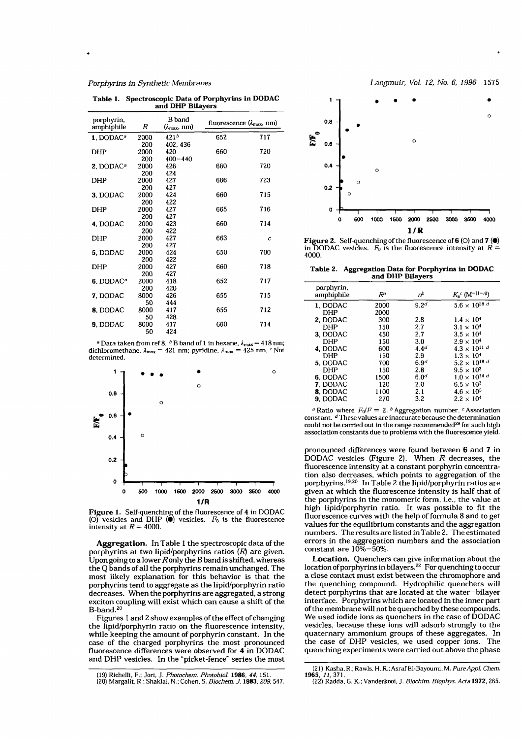### Porphyrins in Synthetic Membranes

| and DHP Bilayers         |      |                                                |                                                   |     |  |  |
|--------------------------|------|------------------------------------------------|---------------------------------------------------|-----|--|--|
| porphyrin,<br>amphiphile | R    | B band<br>$(\lambda_{\text{max}}, \text{ nm})$ | fluorescence $(\lambda_{\text{max}}, \text{ nm})$ |     |  |  |
| 1. DODAC <sup>a</sup>    | 2000 | $421^{b}$                                      | 652                                               | 717 |  |  |
|                          | 200  | 402, 436                                       |                                                   |     |  |  |
| DHP                      | 2000 | 420                                            | 660                                               | 720 |  |  |
|                          | 200  | $400 - 440$                                    |                                                   |     |  |  |
| 2. DODAC <sup>a</sup>    | 2000 | 426                                            | 660                                               | 720 |  |  |
|                          | 200  | 424                                            |                                                   |     |  |  |
| DHP                      | 2000 | 427                                            | 666                                               | 723 |  |  |
|                          | 200  | 427                                            |                                                   |     |  |  |
| 3. DODAC                 | 2000 | 424                                            | 660                                               | 715 |  |  |
|                          | 200  | 422                                            |                                                   |     |  |  |
| DHP                      | 2000 | 427                                            | 665                                               | 716 |  |  |
|                          | 200  | 427                                            |                                                   |     |  |  |
| 4, DODAC                 | 2000 | 423                                            | 660                                               | 714 |  |  |
|                          | 200  | 422                                            |                                                   |     |  |  |
| DHP                      | 2000 | 427                                            | 663                                               | Ċ   |  |  |
|                          | 200  | 427                                            |                                                   |     |  |  |
| 5, DODAC                 | 2000 | 424                                            | 650                                               | 700 |  |  |
|                          | 200  | 422                                            |                                                   |     |  |  |
| DHP                      | 2000 | 427                                            | 660                                               | 718 |  |  |
|                          | 200  | 427                                            |                                                   |     |  |  |
| $6$ , DODAC <sup>a</sup> | 2000 | 418                                            | 652                                               | 717 |  |  |
|                          | 200  | 420                                            |                                                   |     |  |  |
| 7, DODAC                 | 8000 | 426                                            | 655                                               | 715 |  |  |
|                          | 50   | 444                                            |                                                   |     |  |  |
| 8, DODAC                 | 8000 | 417                                            | 655                                               | 712 |  |  |
|                          | 50   | 428                                            |                                                   |     |  |  |
| 9, DODAC                 | 8000 | 417                                            | 660                                               | 714 |  |  |
|                          | 50   | 424                                            |                                                   |     |  |  |

Table 1. Spectroscopic Data of Porphyrins in DODAC

<sup>a</sup> Data taken from ref 8. <sup>b</sup> B band of 1 in hexane,  $\lambda_{\text{max}} = 418$  nm; dichloromethane,  $\lambda_{\text{max}} = 421$  nm; pyridine,  $\lambda_{\text{max}} = 425$  nm. <sup>c</sup> Not determined.



Figure 1. Self-quenching of the fluorescence of 4 in DODAC (O) vesicles and DHP ( $\bullet$ ) vesicles.  $F_0$  is the fluorescence intensity at  $R = 4000$ .

Aggregation. In Table 1 the spectroscopic data of the porphyrins at two lipid/porphyrins ratios  $(R)$  are given. Upon going to a lower Ronly the B band is shifted, whereas the Q bands of all the porphyrins remain unchanged. The most likely explanation for this behavior is that the porphyrins tend to aggregate as the lipid/porphyrin ratio decreases. When the porphyrins are aggregated, a strong exciton coupling will exist which can cause a shift of the B-band.<sup>20</sup>

Figures 1 and 2 show examples of the effect of changing the lipid/porphyrin ratio on the fluorescence intensity, while keeping the amount of porphyrin constant. In the case of the charged porphyrins the most pronounced fluorescence differences were observed for 4 in DODAC and DHP vesicles. In the "picket-fence" series the most Langmuir, Vol. 12, No. 6, 1996 1575



Figure 2. Self-quenching of the fluorescence of 6 (O) and 7 (0) in DODAC vesicles.  $F_0$  is the fluorescence intensity at  $R =$ 4000.

Table 2. Aggregation Data for Porphyrins in DODAC and DHP Bilayers

| porphyrin,<br>amphiphile | Rª   | пþ               | $K_a{}^c$ (M <sup>-(1-n)</sup> ) |
|--------------------------|------|------------------|----------------------------------|
| 1, DODAC                 | 2000 | 9.2 <sup>d</sup> | $5.6 \times 10^{28}$ d           |
| DHP                      | 2000 |                  |                                  |
| 2. DODAC                 | 300  | 2.8              | $1.4 \times 10^{4}$              |
| <b>DHP</b>               | 150  | 2.7              | $3.1 \times 10^{4}$              |
| 3. DODAC                 | 450  | 2.7              | $3.5 \times 10^{4}$              |
| DHP                      | 150  | 3.0              | $2.9 \times 10^{4}$              |
| 4. DODAC                 | 600  | 4.4 <sup>d</sup> | $4.3 \times 10^{11}$ d           |
| DHP                      | 150  | 2.9              | $1.3 \times 10^{4}$              |
| 5. DODAC                 | 700  | 6.9 <sup>d</sup> | $5.2 \times 10^{18}$ d           |
| DHP                      | 150  | 2.8              | $9.5 \times 10^{3}$              |
| 6, DODAC                 | 1500 | 6.0 <sup>d</sup> | $1.0 \times 10^{14}$ d           |
| 7, DODAC                 | 120  | 2.0              | $6.5 \times 10^{3}$              |
| 8. DODAC                 | 1100 | 2.1              | $4.6 \times 10^{5}$              |
| 9. DODAC                 | 270  | 3.2              | $2.2 \times 10^{4}$              |

<sup>a</sup> Ratio where  $F_0/F = 2$ . <sup>b</sup> Aggregation number. <sup>c</sup> Association constant. <sup>*d*</sup> These values are inaccurate because the determination could not be carried out in the range recommended<sup>29</sup> for such high association constants due to problems with the fluorescence yield.

pronounced differences were found between 6 and 7 in DODAC vesicles (Figure 2). When  $R$  decreases, the fluorescence intensity at a constant porphyrin concentration also decreases, which points to aggregation of the porphyrins.<sup>19,20</sup> In Table 2 the lipid/porphyrin ratios are given at which the fluorescence intensity is half that of the porphyrins in the monomeric form, i.e., the value at high lipid/porphyrin ratio. It was possible to fit the fluorescence curves with the help of formula 8 and to get values for the equilibrium constants and the aggregation numbers. The results are listed in Table 2. The estimated errors in the aggregation numbers and the association constant are  $10\% - 50\%$ .

Location. Quenchers can give information about the location of porphyrins in bilayers.<sup>22</sup> For quenching to occur a close contact must exist between the chromophore and the quenching compound. Hydrophilic quenchers will detect porphyrins that are located at the water-bilayer interface. Porphyrins which are located in the inner part of the membrane will not be quenched by these compounds. We used iodide ions as quenchers in the case of DODAC vesicles, because these ions will adsorb strongly to the quaternary ammonium groups of these aggregates. In the case of DHP vesicles, we used copper ions. The quenching experiments were carried out above the phase

<sup>(19)</sup> Richelli, F.; Jori, J. Photochem. Photobiol. 1986, 44, 151.<br>(20) Margalit, R.; Shaklai, N.; Cohen, S. Biochem. J. 1983, 209, 547.

<sup>(21)</sup> Kasha, R.; Rawls, H. R.; Asraf El-Bayoumi, M. Pure Appl. Chem. 1965, 11, 371

<sup>(22)</sup> Radda, G. K .; Vanderkooi, J. Biochim. Biophys. Acta 1972, 265.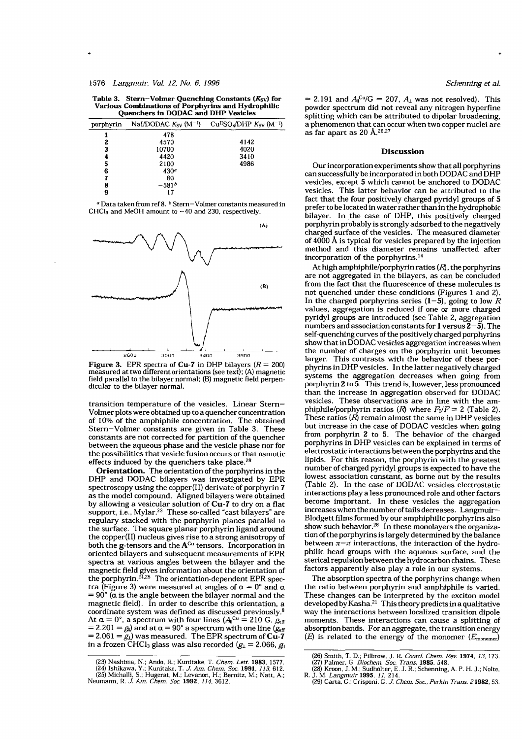Table 3. Stern-Volmer Quenching Constants  $(K_{SV})$  for Various Combinations of Porphyrins and Hydrophilic **Ouenchers in DODAC and DHP Vesicles** 

| porphyrin | NaI/DODAC $K_{SV}$ (M <sup>-1</sup> ) | $CuHSO4/DHP KSV (M-1)$ |
|-----------|---------------------------------------|------------------------|
|           | 478                                   |                        |
| 2         | 4570                                  | 4142                   |
| 3         | 10700                                 | 4020                   |
| 4         | 4420                                  | 3410                   |
| 5         | 2100                                  | 4986                   |
| 6         | 430 <sup>a</sup>                      |                        |
| 7         | 80                                    |                        |
| 8         | $-581^{b}$                            |                        |
| 9         |                                       |                        |

<sup>a</sup> Data taken from ref 8. <sup>b</sup> Stern-Volmer constants measured in CHCl<sub>3</sub> and MeOH amount to  $-40$  and 230, respectively.



**Figure 3.** EPR spectra of Cu-7 in DHP bilayers ( $R = 200$ ) measured at two different orientations (see text); (A) magnetic field parallel to the bilayer normal; (B) magnetic field perpendicular to the bilayer normal.

transition temperature of the vesicles. Linear Stern-Volmer plots were obtained up to a quencher concentration of 10% of the amphiphile concentration. The obtained Stern-Volmer constants are given in Table 3. These constants are not corrected for partition of the quencher between the aqueous phase and the vesicle phase nor for the possibilities that vesicle fusion occurs or that osmotic effects induced by the quenchers take place.<sup>26</sup>

Orientation. The orientation of the porphyrins in the DHP and DODAC bilayers was investigated by EPR spectroscopy using the copper(II) derivate of porphyrin 7 as the model compound. Aligned bilayers were obtained by allowing a vesicular solution of Cu-7 to dry on a flat support, i.e., Mylar.<sup>23</sup> These so-called "cast bilayers" are regulary stacked with the porphyrin planes parallel to the surface. The square planar porphyrin ligand around the copper(II) nucleus gives rise to a strong anisotropy of both the g-tensors and the A<sup>Cu</sup> tensors. Incorporation in oriented bilayers and subsequent measurements of EPR spectra at various angles between the bilayer and the magnetic field gives information about the orientation of<br>the porphyrin.<sup>24.25</sup> The orientation-dependent EPR spectra (Figure 3) were measured at angles of  $\alpha = 0^{\circ}$  and  $\alpha$  $= 90^{\circ}$  ( $\alpha$  is the angle between the bilayer normal and the magnetic field). In order to describe this orientation, a coordinate system was defined as discussed previously.<sup>8</sup> At  $\alpha = 0^{\circ}$ , a spectrum with four lines ( $A_{\parallel}^{Cu} = 210$  G,  $g_{\text{eff}}$ = 2.201 =  $g_{\theta}$ ) and at  $\alpha$  = 90° a spectrum with one line ( $g_{\text{eff}}$ )  $= 2.061 = g_{\perp}$ ) was measured. The EPR spectrum of Cu-7 in a frozen CHCl<sub>3</sub> glass was also recorded  $(g_1 = 2.066, g_1)$ 

= 2.191 and  $A_{\parallel}^{\text{Cu}}/G$  = 207,  $A_{\perp}$  was not resolved). This powder spectrum did not reveal any nitrogen hyperfine splitting which can be attributed to dipolar broadening. a phenomenon that can occur when two copper nuclei are<br>as far apart as 20  $\AA$ <sup>26,27</sup>

#### **Discussion**

Our incorporation experiments show that all porphyrins can successfully be incorporated in both DODAC and DHP vesicles, except 5 which cannot be anchored to DODAC vesicles. This latter behavior can be attributed to the fact that the four positively charged pyridyl groups of 5 prefer to be located in water rather than in the hydrophobic bilayer. In the case of DHP, this positively charged porphyrin probably is strongly adsorbed to the negatively charged surface of the vesicles. The measured diameter of 4000 Å is typical for vesicles prepared by the injection method and this diameter remains unaffected after incorporation of the porphyrins.<sup>14</sup>

At high amphiphile/porphyrin ratios  $(R)$ , the porphyrins are not aggregated in the bilayers, as can be concluded from the fact that the fluorescence of these molecules is not quenched under these conditions (Figures 1 and 2). In the charged porphyrins series  $(1-5)$ , going to low R values, aggregation is reduced if one or more charged pyridyl groups are introduced (see Table 2, aggregation numbers and association constants for 1 versus  $2-5$ ). The self-quenching curves of the positively charged porphyrins show that in DODAC vesicles aggregation increases when the number of charges on the porphyrin unit becomes larger. This contrasts with the behavior of these porphyrins in DHP vesicles. In the latter negatively charged systems the aggregation decreases when going from porphyrin 2 to 5. This trend is, however, less pronounced than the increase in aggregation observed for DODAC vesicles. These observations are in line with the amphiphile/porphyrin ratios (R) where  $F_0/F = 2$  (Table 2). These ratios  $(R)$  remain almost the same in DHP vesicles but increase in the case of DODAC vesicles when going from porphyrin 2 to 5. The behavior of the charged porphyrins in DHP vesicles can be explained in terms of electrostatic interactions between the porphyrins and the lipids. For this reason, the porphyrin with the greatest number of charged pyridyl groups is expected to have the lowest association constant, as borne out by the results (Table 2). In the case of DODAC vesicles electrostatic interactions play a less pronounced role and other factors become important. In these vesicles the aggregation increases when the number of tails decreases. Langmuir-Blodgett films formed by our amphiphilic porphyrins also show such behavior.<sup>28</sup> In these monolayers the organization of the porphyrins is largely determined by the balance between  $\pi-\pi$  interactions, the interaction of the hydrophilic head groups with the aqueous surface, and the sterical repulsion between the hydrocarbon chains. These factors apparently also play a role in our systems.

The absorption spectra of the porphyrins change when the ratio between porphyrin and amphiphile is varied. These changes can be interpreted by the exciton model developed by Kasha.<sup>21</sup> This theory predicts in a qualitative way the interactions between localized transition dipole moments. These interactions can cause a splitting of absorption bands. For an aggregate, the transition energy (E) is related to the energy of the monomer  $(E_{\text{monomer}})$ 

<sup>(23)</sup> Nashima, N.; Ando, R.; Kunitake, T. Chem. Lett. 1983, 1577.<br>
(24) Ishikawa, Y.; Kunitake, T. J. Am. Chem. Soc. 1991, 113, 612.<br>
(25) Michalli, S.; Hugerat, M.; Levanon, H.; Bernitz, M.; Natt, A.; Neumann, R. J. Am. Ch

<sup>(26)</sup> Smith, T. D.; Pilbrow, J. R. Coord. Chem. Rev. 1974, 13, 173.<br>(27) Palmer, G. Biochem. Soc. Trans. 1985, 548.

<sup>(28)</sup> Kroon, J. M.; Sudhölter, E. J. R.; Schenning, A. P. H. J.; Nolte,<br>R. J. M. *Langmuir* 1995, 11, 214.<br>(29) Carta, G.; Crisponi, G. *J. Chem. Soc., Perkin Trans.* 2 1982, 53.